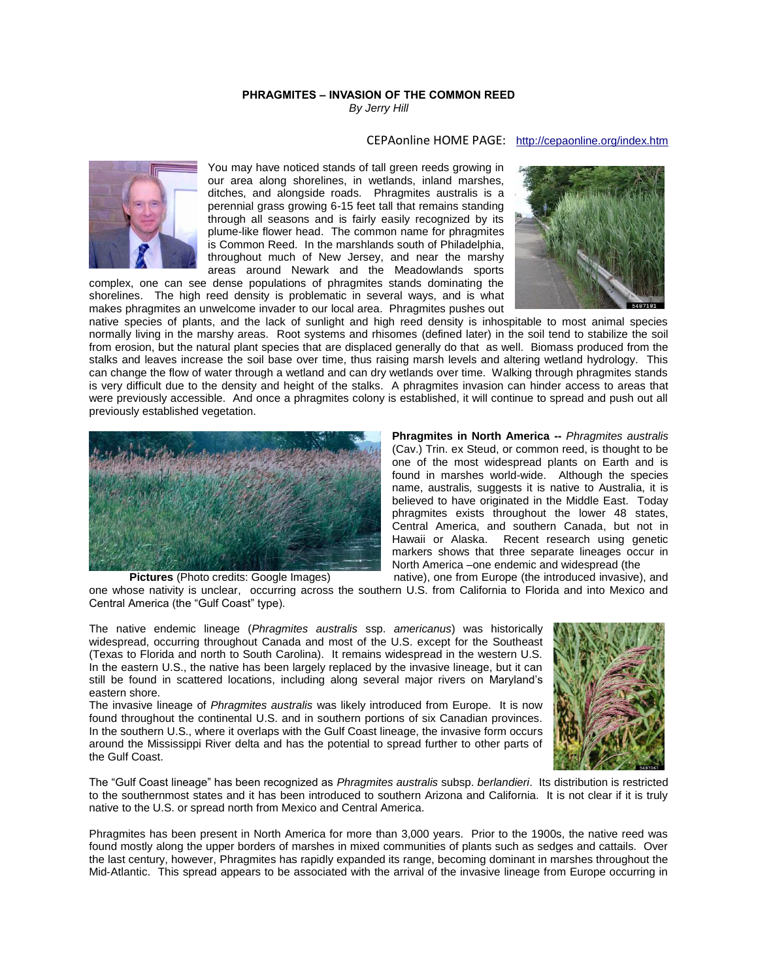## **PHRAGMITES – INVASION OF THE COMMON REED** *By Jerry Hill*

## CEPAonline HOME PAGE: <http://cepaonline.org/index.htm>



You may have noticed stands of tall green reeds growing in our area along shorelines, in wetlands, inland marshes, ditches, and alongside roads. Phragmites australis is a perennial grass growing 6-15 feet tall that remains standing through all seasons and is fairly easily recognized by its plume-like flower head. The common name for phragmites is Common Reed. In the marshlands south of Philadelphia, throughout much of New Jersey, and near the marshy areas around Newark and the Meadowlands sports

complex, one can see dense populations of phragmites stands dominating the shorelines. The high reed density is problematic in several ways, and is what makes phragmites an unwelcome invader to our local area. Phragmites pushes out



native species of plants, and the lack of sunlight and high reed density is inhospitable to most animal species normally living in the marshy areas. Root systems and rhisomes (defined later) in the soil tend to stabilize the soil from erosion, but the natural plant species that are displaced generally do that as well. Biomass produced from the stalks and leaves increase the soil base over time, thus raising marsh levels and altering wetland hydrology. This can change the flow of water through a wetland and can dry wetlands over time. Walking through phragmites stands is very difficult due to the density and height of the stalks. A phragmites invasion can hinder access to areas that were previously accessible. And once a phragmites colony is established, it will continue to spread and push out all previously established vegetation.



**Phragmites in North America --** *Phragmites australis*  (Cav.) Trin. ex Steud, or common reed, is thought to be one of the most widespread plants on Earth and is found in marshes world-wide. Although the species name, australis*,* suggests it is native to Australia, it is believed to have originated in the Middle East. Today phragmites exists throughout the lower 48 states, Central America, and southern Canada, but not in Hawaii or Alaska. Recent research using genetic markers shows that three separate lineages occur in North America –one endemic and widespread (the

**Pictures** (Photo credits: Google Images) native), one from Europe (the introduced invasive), and

one whose nativity is unclear, occurring across the southern U.S. from California to Florida and into Mexico and Central America (the "Gulf Coast" type).

The native endemic lineage (*Phragmites australis* ssp. *americanus*) was historically widespread, occurring throughout Canada and most of the U.S. except for the Southeast (Texas to Florida and north to South Carolina). It remains widespread in the western U.S. In the eastern U.S., the native has been largely replaced by the invasive lineage, but it can still be found in scattered locations, including along several major rivers on Maryland's eastern shore.

The invasive lineage of *Phragmites australis* was likely introduced from Europe. It is now found throughout the continental U.S. and in southern portions of six Canadian provinces. In the southern U.S., where it overlaps with the Gulf Coast lineage, the invasive form occurs around the Mississippi River delta and has the potential to spread further to other parts of the Gulf Coast.



The "Gulf Coast lineage" has been recognized as *Phragmites australis* subsp. *berlandieri*. Its distribution is restricted to the southernmost states and it has been introduced to southern Arizona and California. It is not clear if it is truly native to the U.S. or spread north from Mexico and Central America.

Phragmites has been present in North America for more than 3,000 years. Prior to the 1900s, the native reed was found mostly along the upper borders of marshes in mixed communities of plants such as sedges and cattails. Over the last century, however, Phragmites has rapidly expanded its range, becoming dominant in marshes throughout the Mid‐Atlantic. This spread appears to be associated with the arrival of the invasive lineage from Europe occurring in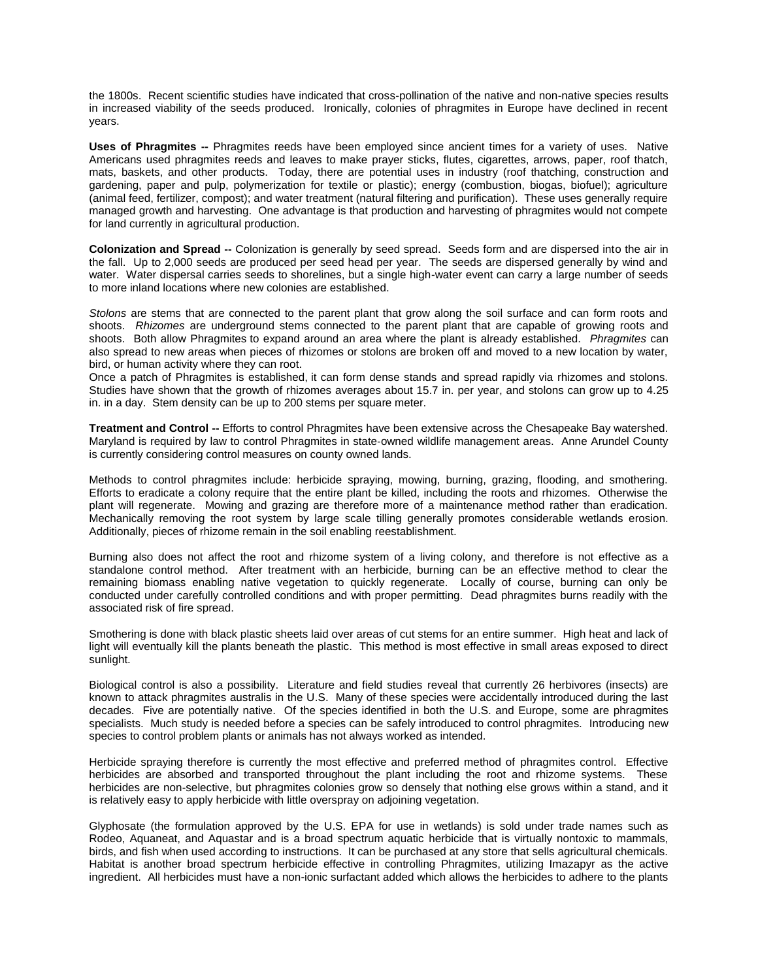the 1800s. Recent scientific studies have indicated that cross-pollination of the native and non-native species results in increased viability of the seeds produced. Ironically, colonies of phragmites in Europe have declined in recent years.

**Uses of Phragmites --** Phragmites reeds have been employed since ancient times for a variety of uses. Native Americans used phragmites reeds and leaves to make prayer sticks, flutes, cigarettes, arrows, paper, roof thatch, mats, baskets, and other products. Today, there are potential uses in industry (roof thatching, construction and gardening, paper and pulp, polymerization for textile or plastic); energy (combustion, biogas, biofuel); agriculture (animal feed, fertilizer, compost); and water treatment (natural filtering and purification). These uses generally require managed growth and harvesting. One advantage is that production and harvesting of phragmites would not compete for land currently in agricultural production.

**Colonization and Spread --** Colonization is generally by seed spread. Seeds form and are dispersed into the air in the fall. Up to 2,000 seeds are produced per seed head per year. The seeds are dispersed generally by wind and water. Water dispersal carries seeds to shorelines, but a single high-water event can carry a large number of seeds to more inland locations where new colonies are established.

*Stolons* are stems that are connected to the parent plant that grow along the soil surface and can form roots and shoots. *Rhizomes* are underground stems connected to the parent plant that are capable of growing roots and shoots. Both allow Phragmites to expand around an area where the plant is already established. *Phragmites* can also spread to new areas when pieces of rhizomes or stolons are broken off and moved to a new location by water, bird, or human activity where they can root.

Once a patch of Phragmites is established, it can form dense stands and spread rapidly via rhizomes and stolons. Studies have shown that the growth of rhizomes averages about 15.7 in. per year, and stolons can grow up to 4.25 in. in a day. Stem density can be up to 200 stems per square meter.

**Treatment and Control --** Efforts to control Phragmites have been extensive across the Chesapeake Bay watershed. Maryland is required by law to control Phragmites in state‐owned wildlife management areas. Anne Arundel County is currently considering control measures on county owned lands.

Methods to control phragmites include: herbicide spraying, mowing, burning, grazing, flooding, and smothering. Efforts to eradicate a colony require that the entire plant be killed, including the roots and rhizomes. Otherwise the plant will regenerate. Mowing and grazing are therefore more of a maintenance method rather than eradication. Mechanically removing the root system by large scale tilling generally promotes considerable wetlands erosion. Additionally, pieces of rhizome remain in the soil enabling reestablishment.

Burning also does not affect the root and rhizome system of a living colony, and therefore is not effective as a standalone control method. After treatment with an herbicide, burning can be an effective method to clear the remaining biomass enabling native vegetation to quickly regenerate. Locally of course, burning can only be conducted under carefully controlled conditions and with proper permitting. Dead phragmites burns readily with the associated risk of fire spread.

Smothering is done with black plastic sheets laid over areas of cut stems for an entire summer. High heat and lack of light will eventually kill the plants beneath the plastic. This method is most effective in small areas exposed to direct sunlight.

Biological control is also a possibility. Literature and field studies reveal that currently 26 herbivores (insects) are known to attack phragmites australis in the U.S. Many of these species were accidentally introduced during the last decades. Five are potentially native. Of the species identified in both the U.S. and Europe, some are phragmites specialists. Much study is needed before a species can be safely introduced to control phragmites. Introducing new species to control problem plants or animals has not always worked as intended.

Herbicide spraying therefore is currently the most effective and preferred method of phragmites control. Effective herbicides are absorbed and transported throughout the plant including the root and rhizome systems. These herbicides are non-selective, but phragmites colonies grow so densely that nothing else grows within a stand, and it is relatively easy to apply herbicide with little overspray on adjoining vegetation.

Glyphosate (the formulation approved by the U.S. EPA for use in wetlands) is sold under trade names such as Rodeo, Aquaneat, and Aquastar and is a broad spectrum aquatic herbicide that is virtually nontoxic to mammals, birds, and fish when used according to instructions. It can be purchased at any store that sells agricultural chemicals. Habitat is another broad spectrum herbicide effective in controlling Phragmites, utilizing Imazapyr as the active ingredient. All herbicides must have a non-ionic surfactant added which allows the herbicides to adhere to the plants